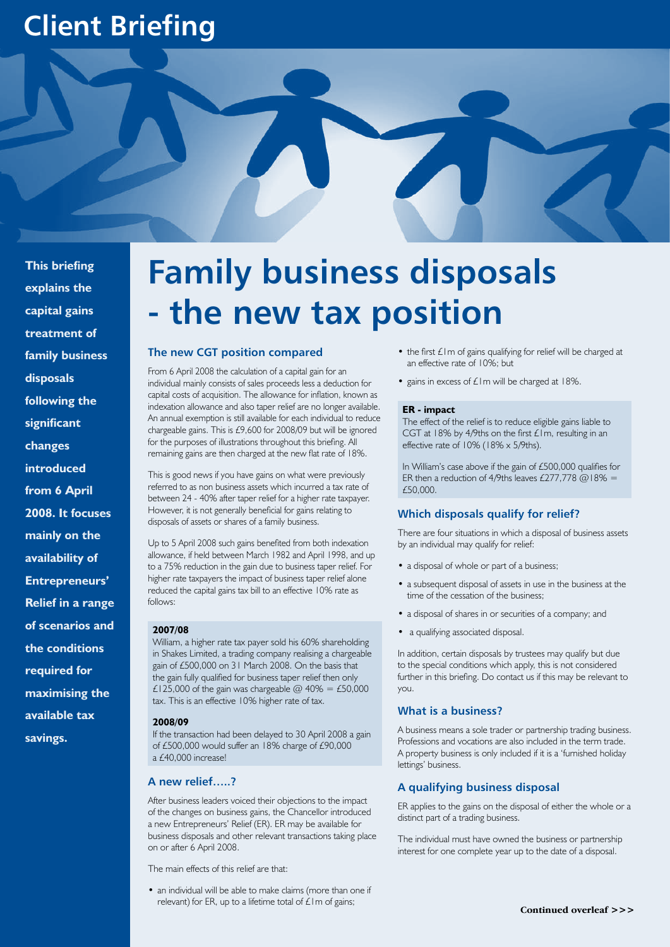# **Client Briefing**



**This briefing explains the capital gains treatment of family business disposals following the significant changes introduced from 6 April 2008. It focuses mainly on the availability of Entrepreneurs' Relief in a range of scenarios and the conditions required for maximising the available tax savings.** 

# **Family business disposals - the new tax position**

### **The new CGT position compared**

From 6 April 2008 the calculation of a capital gain for an individual mainly consists of sales proceeds less a deduction for capital costs of acquisition. The allowance for inflation, known as indexation allowance and also taper relief are no longer available. An annual exemption is still available for each individual to reduce chargeable gains. This is £9,600 for 2008/09 but will be ignored for the purposes of illustrations throughout this briefing. All remaining gains are then charged at the new flat rate of 18%.

This is good news if you have gains on what were previously referred to as non business assets which incurred a tax rate of between 24 - 40% after taper relief for a higher rate taxpayer. However, it is not generally beneficial for gains relating to disposals of assets or shares of a family business.

Up to 5 April 2008 such gains benefited from both indexation allowance, if held between March 1982 and April 1998, and up to a 75% reduction in the gain due to business taper relief. For higher rate taxpayers the impact of business taper relief alone reduced the capital gains tax bill to an effective 10% rate as follows:

#### **2007/08**

William, a higher rate tax payer sold his 60% shareholding in Shakes Limited, a trading company realising a chargeable gain of £500,000 on 31 March 2008. On the basis that the gain fully qualified for business taper relief then only £125,000 of the gain was chargeable  $@$  40% = £50,000 tax. This is an effective 10% higher rate of tax.

#### **2008/09**

If the transaction had been delayed to 30 April 2008 a gain of £500,000 would suffer an 18% charge of £90,000 a £40,000 increase!

# **A new relief…..?**

After business leaders voiced their objections to the impact of the changes on business gains, the Chancellor introduced a new Entrepreneurs' Relief (ER). ER may be available for business disposals and other relevant transactions taking place on or after 6 April 2008.

The main effects of this relief are that:

• an individual will be able to make claims (more than one if relevant) for ER, up to a lifetime total of  $\mathcal L$ Im of gains;

- the first  $£1m$  of gains qualifying for relief will be charged at an effective rate of 10%; but
- gains in excess of  $£1m$  will be charged at 18%.

#### **ER - impact**

The effect of the relief is to reduce eligible gains liable to CGT at 18% by 4/9ths on the first £1m, resulting in an effective rate of 10% (18% x 5/9ths).

In William's case above if the gain of £500,000 qualifies for ER then a reduction of 4/9ths leaves £277,778  $@18% =$ £50,000.

#### **Which disposals qualify for relief?**

There are four situations in which a disposal of business assets by an individual may qualify for relief:

- a disposal of whole or part of a business;
- a subsequent disposal of assets in use in the business at the time of the cessation of the business;
- a disposal of shares in or securities of a company; and
- a qualifying associated disposal.

In addition, certain disposals by trustees may qualify but due to the special conditions which apply, this is not considered further in this briefing. Do contact us if this may be relevant to you.

#### **What is a business?**

A business means a sole trader or partnership trading business. Professions and vocations are also included in the term trade. A property business is only included if it is a 'furnished holiday lettings' business.

#### **A qualifying business disposal**

ER applies to the gains on the disposal of either the whole or a distinct part of a trading business.

The individual must have owned the business or partnership interest for one complete year up to the date of a disposal.